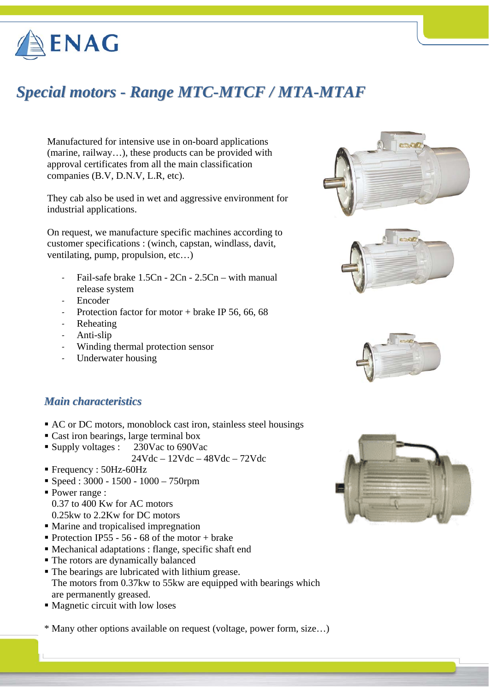

# *Special motors - Range MTC-MTCF / MTA-MTAF*

Manufactured for intensive use in on-board applications (marine, railway…), these products can be provided with approval certificates from all the main classification companies (B.V, D.N.V, L.R, etc).

They cab also be used in wet and aggressive environment for industrial applications.

On request, we manufacture specific machines according to customer specifications : (winch, capstan, windlass, davit, ventilating, pump, propulsion, etc…)

- ‐ Fail-safe brake 1.5Cn 2Cn 2.5Cn with manual release system
- ‐ Encoder
- Protection factor for motor + brake IP 56, 66, 68
- ‐ Reheating
- ‐ Anti-slip
- Winding thermal protection sensor
- ‐ Underwater housing







#### *Main characteristics*

- AC or DC motors, monoblock cast iron, stainless steel housings
- Cast iron bearings, large terminal box
- Supply voltages : 230Vac to 690Vac
	- 24Vdc 12Vdc 48Vdc 72Vdc
- Frequency : 50Hz-60Hz
- $\blacktriangleright$  Speed : 3000 1500 1000 750rpm
- Power range : 0.37 to 400 Kw for AC motors 0.25kw to 2.2Kw for DC motors
- Marine and tropicalised impregnation
- Protection IP55 56 68 of the motor + brake
- Mechanical adaptations : flange, specific shaft end
- The rotors are dynamically balanced
- The bearings are lubricated with lithium grease. The motors from 0.37kw to 55kw are equipped with bearings which are permanently greased.
- Magnetic circuit with low loses

\* Many other options available on request (voltage, power form, size…)